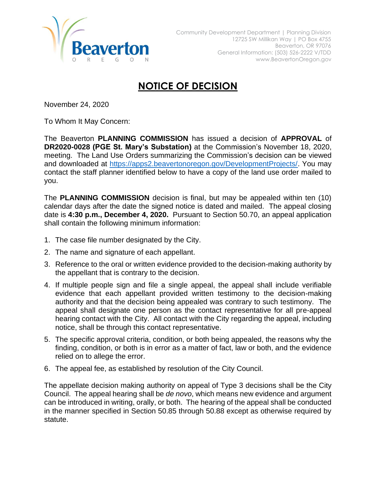

## **NOTICE OF DECISION**

November 24, 2020

To Whom It May Concern:

The Beaverton **PLANNING COMMISSION** has issued a decision of **APPROVAL** of **DR2020-0028 (PGE St. Mary's Substation)** at the Commission's November 18, 2020, meeting. The Land Use Orders summarizing the Commission's decision can be viewed and downloaded at [https://apps2.beavertonoregon.gov/DevelopmentProjects/.](https://apps2.beavertonoregon.gov/DevelopmentProjects/) You may contact the staff planner identified below to have a copy of the land use order mailed to you.

The **PLANNING COMMISSION** decision is final, but may be appealed within ten (10) calendar days after the date the signed notice is dated and mailed. The appeal closing date is **4:30 p.m., December 4, 2020.** Pursuant to Section 50.70, an appeal application shall contain the following minimum information:

- 1. The case file number designated by the City.
- 2. The name and signature of each appellant.
- 3. Reference to the oral or written evidence provided to the decision-making authority by the appellant that is contrary to the decision.
- 4. If multiple people sign and file a single appeal, the appeal shall include verifiable evidence that each appellant provided written testimony to the decision-making authority and that the decision being appealed was contrary to such testimony. The appeal shall designate one person as the contact representative for all pre-appeal hearing contact with the City. All contact with the City regarding the appeal, including notice, shall be through this contact representative.
- 5. The specific approval criteria, condition, or both being appealed, the reasons why the finding, condition, or both is in error as a matter of fact, law or both, and the evidence relied on to allege the error.
- 6. The appeal fee, as established by resolution of the City Council.

The appellate decision making authority on appeal of Type 3 decisions shall be the City Council. The appeal hearing shall be *de novo*, which means new evidence and argument can be introduced in writing, orally, or both. The hearing of the appeal shall be conducted in the manner specified in Section 50.85 through 50.88 except as otherwise required by statute.